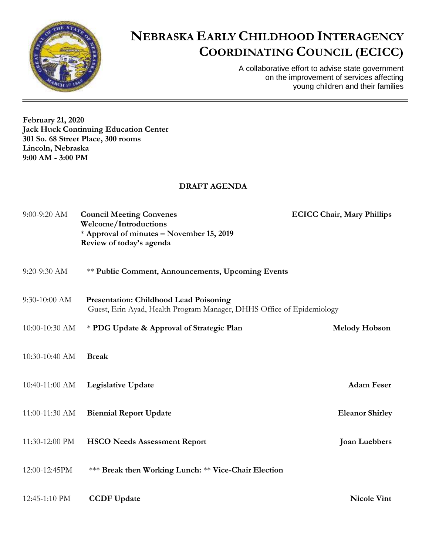

## **NEBRASKA EARLY CHILDHOOD INTERAGENCY COORDINATING COUNCIL (ECICC)**

A collaborative effort to advise state government on the improvement of services affecting young children and their families

**February 21, 2020 Jack Huck Continuing Education Center 301 So. 68 Street Place, 300 rooms Lincoln, Nebraska 9:00 AM - 3:00 PM**

## **DRAFT AGENDA**

| 9:00-9:20 AM     | <b>Council Meeting Convenes</b><br><b>Welcome/Introductions</b><br>* Approval of minutes - November 15, 2019<br>Review of today's agenda | <b>ECICC Chair, Mary Phillips</b> |
|------------------|------------------------------------------------------------------------------------------------------------------------------------------|-----------------------------------|
| 9:20-9:30 AM     | <b>** Public Comment, Announcements, Upcoming Events</b>                                                                                 |                                   |
| 9:30-10:00 AM    | <b>Presentation: Childhood Lead Poisoning</b><br>Guest, Erin Ayad, Health Program Manager, DHHS Office of Epidemiology                   |                                   |
| 10:00-10:30 AM   | * PDG Update & Approval of Strategic Plan                                                                                                | <b>Melody Hobson</b>              |
| 10:30-10:40 AM   | <b>Break</b>                                                                                                                             |                                   |
| $10:40-11:00$ AM | <b>Legislative Update</b>                                                                                                                | <b>Adam Feser</b>                 |
| 11:00-11:30 AM   | <b>Biennial Report Update</b>                                                                                                            | <b>Eleanor Shirley</b>            |
| 11:30-12:00 PM   | <b>HSCO Needs Assessment Report</b>                                                                                                      | <b>Joan Luebbers</b>              |
| 12:00-12:45PM    | *** Break then Working Lunch: ** Vice-Chair Election                                                                                     |                                   |
| 12:45-1:10 PM    | <b>CCDF Update</b>                                                                                                                       | <b>Nicole Vint</b>                |